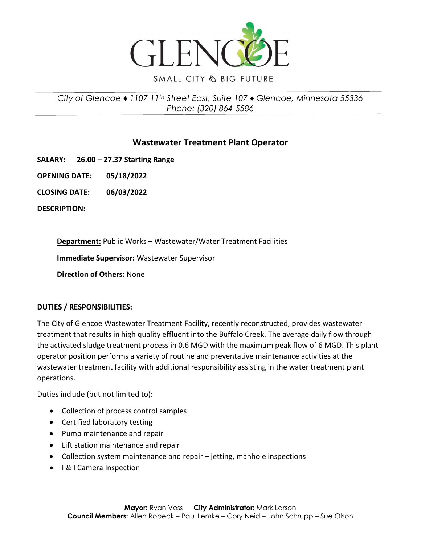

**SMALL CITY & BIG FUTURE** 

# *City of Glencoe ♦ 1107 11th Street East, Suite 107 ♦ Glencoe, Minnesota 55336 Phone: (320) 864-5586*

# **Wastewater Treatment Plant Operator**

**SALARY: 26.00 – 27.37 Starting Range** 

**OPENING DATE: 05/18/2022**

**CLOSING DATE: 06/03/2022**

**DESCRIPTION:**

**Department:** Public Works – Wastewater/Water Treatment Facilities

**Immediate Supervisor:** Wastewater Supervisor

**Direction of Others:** None

### **DUTIES / RESPONSIBILITIES:**

The City of Glencoe Wastewater Treatment Facility, recently reconstructed, provides wastewater treatment that results in high quality effluent into the Buffalo Creek. The average daily flow through the activated sludge treatment process in 0.6 MGD with the maximum peak flow of 6 MGD. This plant operator position performs a variety of routine and preventative maintenance activities at the wastewater treatment facility with additional responsibility assisting in the water treatment plant operations.

Duties include (but not limited to):

- Collection of process control samples
- Certified laboratory testing
- Pump maintenance and repair
- Lift station maintenance and repair
- Collection system maintenance and repair jetting, manhole inspections
- I & I Camera Inspection